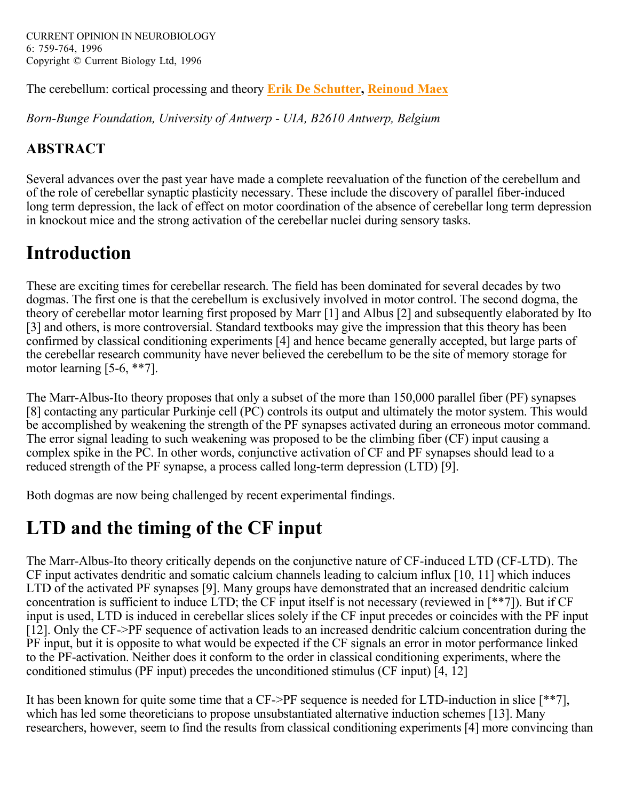The cerebellum: cortical processing and theory **Erik De Schutter, Reinoud Maex**

*Born-Bunge Foundation, University of Antwerp - UIA, B2610 Antwerp, Belgium*

#### **ABSTRACT**

Several advances over the past year have made a complete reevaluation of the function of the cerebellum and of the role of cerebellar synaptic plasticity necessary. These include the discovery of parallel fiber-induced long term depression, the lack of effect on motor coordination of the absence of cerebellar long term depression in knockout mice and the strong activation of the cerebellar nuclei during sensory tasks.

# **Introduction**

These are exciting times for cerebellar research. The field has been dominated for several decades by two dogmas. The first one is that the cerebellum is exclusively involved in motor control. The second dogma, the theory of cerebellar motor learning first proposed by Marr [1] and Albus [2] and subsequently elaborated by Ito [3] and others, is more controversial. Standard textbooks may give the impression that this theory has been confirmed by classical conditioning experiments [4] and hence became generally accepted, but large parts of the cerebellar research community have never believed the cerebellum to be the site of memory storage for motor learning [5-6, \*\*7].

The Marr-Albus-Ito theory proposes that only a subset of the more than 150,000 parallel fiber (PF) synapses [8] contacting any particular Purkinje cell (PC) controls its output and ultimately the motor system. This would be accomplished by weakening the strength of the PF synapses activated during an erroneous motor command. The error signal leading to such weakening was proposed to be the climbing fiber (CF) input causing a complex spike in the PC. In other words, conjunctive activation of CF and PF synapses should lead to a reduced strength of the PF synapse, a process called long-term depression (LTD) [9].

Both dogmas are now being challenged by recent experimental findings.

## **LTD and the timing of the CF input**

The Marr-Albus-Ito theory critically depends on the conjunctive nature of CF-induced LTD (CF-LTD). The CF input activates dendritic and somatic calcium channels leading to calcium influx [10, 11] which induces LTD of the activated PF synapses [9]. Many groups have demonstrated that an increased dendritic calcium concentration is sufficient to induce LTD; the CF input itself is not necessary (reviewed in [\*\*7]). But if CF input is used, LTD is induced in cerebellar slices solely if the CF input precedes or coincides with the PF input [12]. Only the CF->PF sequence of activation leads to an increased dendritic calcium concentration during the PF input, but it is opposite to what would be expected if the CF signals an error in motor performance linked to the PF-activation. Neither does it conform to the order in classical conditioning experiments, where the conditioned stimulus (PF input) precedes the unconditioned stimulus (CF input) [4, 12]

It has been known for quite some time that a CF->PF sequence is needed for LTD-induction in slice [\*\*7], which has led some theoreticians to propose unsubstantiated alternative induction schemes [13]. Many researchers, however, seem to find the results from classical conditioning experiments [4] more convincing than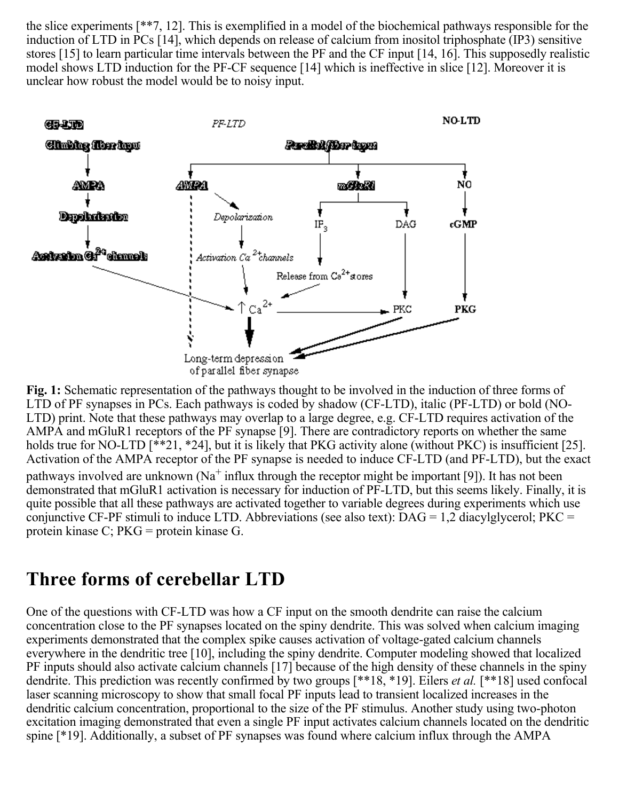the slice experiments [\*\*7, 12]. This is exemplified in a model of the biochemical pathways responsible for the induction of LTD in PCs [14], which depends on release of calcium from inositol triphosphate (IP3) sensitive stores [15] to learn particular time intervals between the PF and the CF input [14, 16]. This supposedly realistic model shows LTD induction for the PF-CF sequence [14] which is ineffective in slice [12]. Moreover it is unclear how robust the model would be to noisy input.



Fig. 1: Schematic representation of the pathways thought to be involved in the induction of three forms of LTD of PF synapses in PCs. Each pathways is coded by shadow (CF-LTD), italic (PF-LTD) or bold (NO-LTD) print. Note that these pathways may overlap to a large degree, e.g. CF-LTD requires activation of the AMPA and mGluR1 receptors of the PF synapse [9]. There are contradictory reports on whether the same holds true for NO-LTD [\*\*21, \*24], but it is likely that PKG activity alone (without PKC) is insufficient [25]. Activation of the AMPA receptor of the PF synapse is needed to induce CF-LTD (and PF-LTD), but the exact pathways involved are unknown (Na<sup>+</sup> influx through the receptor might be important [9]). It has not been demonstrated that mGluR1 activation is necessary for induction of PF-LTD, but this seems likely. Finally, it is quite possible that all these pathways are activated together to variable degrees during experiments which use conjunctive CF-PF stimuli to induce LTD. Abbreviations (see also text):  $DAG = 1.2$  diacylglycerol;  $PKC =$ protein kinase C; PKG = protein kinase G.

#### **Three forms of cerebellar LTD**

One of the questions with CF-LTD was how a CF input on the smooth dendrite can raise the calcium concentration close to the PF synapses located on the spiny dendrite. This was solved when calcium imaging experiments demonstrated that the complex spike causes activation of voltage-gated calcium channels everywhere in the dendritic tree [10], including the spiny dendrite. Computer modeling showed that localized PF inputs should also activate calcium channels [17] because of the high density of these channels in the spiny dendrite. This prediction was recently confirmed by two groups [\*\*18, \*19]. Eilers *et al.* [\*\*18] used confocal laser scanning microscopy to show that small focal PF inputs lead to transient localized increases in the dendritic calcium concentration, proportional to the size of the PF stimulus. Another study using two-photon excitation imaging demonstrated that even a single PF input activates calcium channels located on the dendritic spine [\*19]. Additionally, a subset of PF synapses was found where calcium influx through the AMPA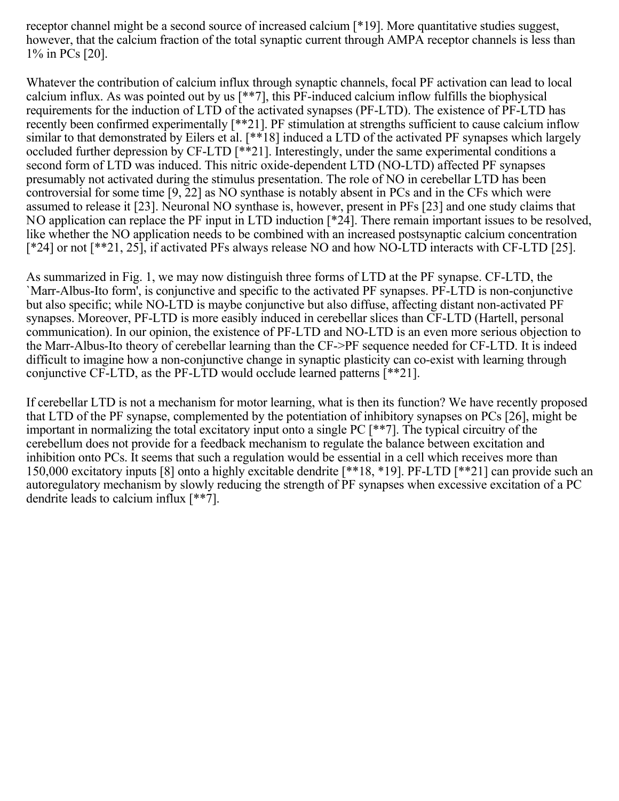receptor channel might be a second source of increased calcium [\*19]. More quantitative studies suggest, however, that the calcium fraction of the total synaptic current through AMPA receptor channels is less than 1% in PCs [20].

Whatever the contribution of calcium influx through synaptic channels, focal PF activation can lead to local calcium influx. As was pointed out by us [\*\*7], this PF-induced calcium inflow fulfills the biophysical requirements for the induction of LTD of the activated synapses (PF-LTD). The existence of PF-LTD has recently been confirmed experimentally [\*\*21]. PF stimulation at strengths sufficient to cause calcium inflow similar to that demonstrated by Eilers et al. [\*\*18] induced a LTD of the activated PF synapses which largely occluded further depression by CF-LTD [\*\*21]. Interestingly, under the same experimental conditions a second form of LTD was induced. This nitric oxide-dependent LTD (NO-LTD) affected PF synapses presumably not activated during the stimulus presentation. The role of NO in cerebellar LTD has been controversial for some time [9, 22] as NO synthase is notably absent in PCs and in the CFs which were assumed to release it [23]. Neuronal NO synthase is, however, present in PFs [23] and one study claims that NO application can replace the PF input in LTD induction [\*24]. There remain important issues to be resolved, like whether the NO application needs to be combined with an increased postsynaptic calcium concentration [\*24] or not [\*\*21, 25], if activated PFs always release NO and how NO-LTD interacts with CF-LTD [25].

As summarized in Fig. 1, we may now distinguish three forms of LTD at the PF synapse. CF-LTD, the `Marr-Albus-Ito form', is conjunctive and specific to the activated PF synapses. PF-LTD is non-conjunctive but also specific; while NO-LTD is maybe conjunctive but also diffuse, affecting distant non-activated PF synapses. Moreover, PF-LTD is more easibly induced in cerebellar slices than CF-LTD (Hartell, personal communication). In our opinion, the existence of PF-LTD and NO-LTD is an even more serious objection to the Marr-Albus-Ito theory of cerebellar learning than the CF->PF sequence needed for CF-LTD. It is indeed difficult to imagine how a non-conjunctive change in synaptic plasticity can co-exist with learning through conjunctive CF-LTD, as the PF-LTD would occlude learned patterns [\*\*21].

If cerebellar LTD is not a mechanism for motor learning, what is then its function? We have recently proposed that LTD of the PF synapse, complemented by the potentiation of inhibitory synapses on PCs [26], might be important in normalizing the total excitatory input onto a single PC [\*\*7]. The typical circuitry of the cerebellum does not provide for a feedback mechanism to regulate the balance between excitation and inhibition onto PCs. It seems that such a regulation would be essential in a cell which receives more than 150,000 excitatory inputs [8] onto a highly excitable dendrite [\*\*18, \*19]. PF-LTD [\*\*21] can provide such an autoregulatory mechanism by slowly reducing the strength of PF synapses when excessive excitation of a PC dendrite leads to calcium influx [\*\*7].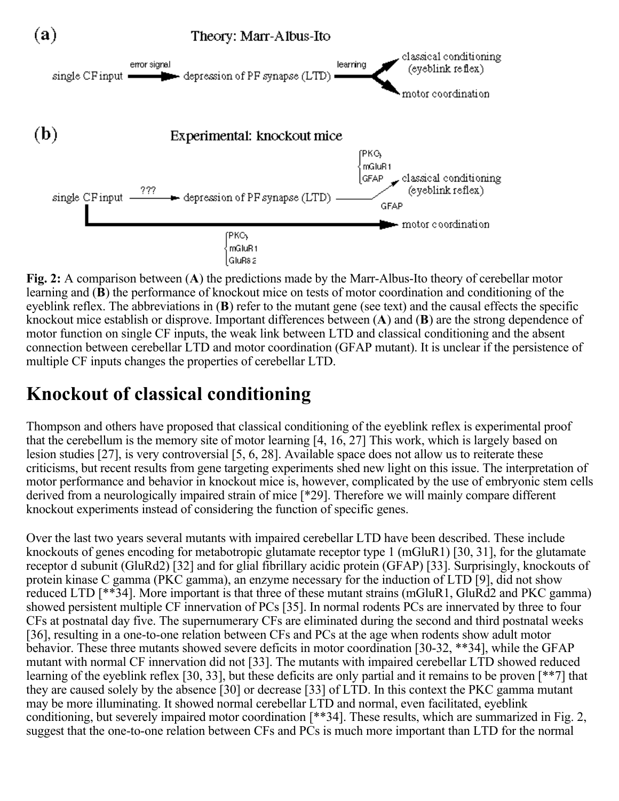

Fig. 2: A comparison between (A) the predictions made by the Marr-Albus-Ito theory of cerebellar motor learning and (B) the performance of knockout mice on tests of motor coordination and conditioning of the eyeblink reflex. The abbreviations in  $(B)$  refer to the mutant gene (see text) and the causal effects the specific knockout mice establish or disprove. Important differences between  $(A)$  and  $(B)$  are the strong dependence of motor function on single CF inputs, the weak link between LTD and classical conditioning and the absent connection between cerebellar LTD and motor coordination (GFAP mutant). It is unclear if the persistence of multiple CF inputs changes the properties of cerebellar LTD.

### **Knockout of classical conditioning**

Thompson and others have proposed that classical conditioning of the eyeblink reflex is experimental proof that the cerebellum is the memory site of motor learning [4, 16, 27] This work, which is largely based on lesion studies [27], is very controversial [5, 6, 28]. Available space does not allow us to reiterate these criticisms, but recent results from gene targeting experiments shed new light on this issue. The interpretation of motor performance and behavior in knockout mice is, however, complicated by the use of embryonic stem cells derived from a neurologically impaired strain of mice [\*29]. Therefore we will mainly compare different knockout experiments instead of considering the function of specific genes.

Over the last two years several mutants with impaired cerebellar LTD have been described. These include knockouts of genes encoding for metabotropic glutamate receptor type 1 (mGluR1) [30, 31], for the glutamate receptor d subunit (GluRd2) [32] and for glial fibrillary acidic protein (GFAP) [33]. Surprisingly, knockouts of protein kinase C gamma (PKC gamma), an enzyme necessary for the induction of LTD [9], did not show reduced LTD [\*\*34]. More important is that three of these mutant strains (mGluR1, GluRd2 and PKC gamma) showed persistent multiple CF innervation of PCs [35]. In normal rodents PCs are innervated by three to four CFs at postnatal day five. The supernumerary CFs are eliminated during the second and third postnatal weeks [36], resulting in a one-to-one relation between CFs and PCs at the age when rodents show adult motor behavior. These three mutants showed severe deficits in motor coordination [30-32, \*\*34], while the GFAP mutant with normal CF innervation did not [33]. The mutants with impaired cerebellar LTD showed reduced learning of the eyeblink reflex [30, 33], but these deficits are only partial and it remains to be proven [\*\*7] that they are caused solely by the absence [30] or decrease [33] of LTD. In this context the PKC gamma mutant may be more illuminating. It showed normal cerebellar LTD and normal, even facilitated, eyeblink conditioning, but severely impaired motor coordination [\*\*34]. These results, which are summarized in Fig. 2, suggest that the one-to-one relation between CFs and PCs is much more important than LTD for the normal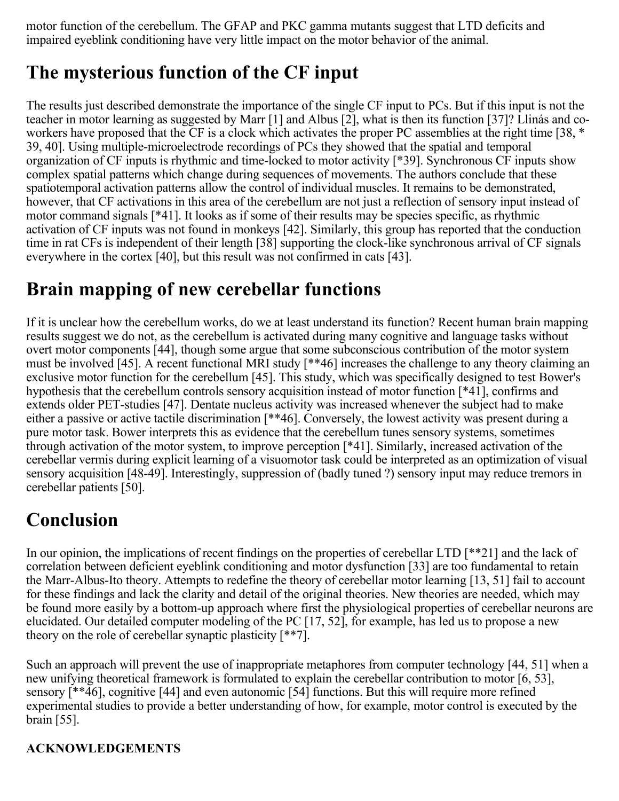motor function of the cerebellum. The GFAP and PKC gamma mutants suggest that LTD deficits and impaired eyeblink conditioning have very little impact on the motor behavior of the animal.

## **The mysterious function of the CF input**

The results just described demonstrate the importance of the single CF input to PCs. But if this input is not the teacher in motor learning as suggested by Marr [1] and Albus [2], what is then its function [37]? Llinás and coworkers have proposed that the CF is a clock which activates the proper PC assemblies at the right time [38, \* 39, 40]. Using multiple-microelectrode recordings of PCs they showed that the spatial and temporal organization of CF inputs is rhythmic and time-locked to motor activity [\*39]. Synchronous CF inputs show complex spatial patterns which change during sequences of movements. The authors conclude that these spatiotemporal activation patterns allow the control of individual muscles. It remains to be demonstrated, however, that CF activations in this area of the cerebellum are not just a reflection of sensory input instead of motor command signals [\*41]. It looks as if some of their results may be species specific, as rhythmic activation of CF inputs was not found in monkeys [42]. Similarly, this group has reported that the conduction time in rat CFs is independent of their length [38] supporting the clock-like synchronous arrival of CF signals everywhere in the cortex [40], but this result was not confirmed in cats [43].

#### **Brain mapping of new cerebellar functions**

If it is unclear how the cerebellum works, do we at least understand its function? Recent human brain mapping results suggest we do not, as the cerebellum is activated during many cognitive and language tasks without overt motor components [44], though some argue that some subconscious contribution of the motor system must be involved [45]. A recent functional MRI study [\*\*46] increases the challenge to any theory claiming an exclusive motor function for the cerebellum [45]. This study, which was specifically designed to test Bower's hypothesis that the cerebellum controls sensory acquisition instead of motor function [\*41], confirms and extends older PET-studies [47]. Dentate nucleus activity was increased whenever the subject had to make either a passive or active tactile discrimination [\*\*46]. Conversely, the lowest activity was present during a pure motor task. Bower interprets this as evidence that the cerebellum tunes sensory systems, sometimes through activation of the motor system, to improve perception [\*41]. Similarly, increased activation of the cerebellar vermis during explicit learning of a visuomotor task could be interpreted as an optimization of visual sensory acquisition [48-49]. Interestingly, suppression of (badly tuned ?) sensory input may reduce tremors in cerebellar patients [50].

## **Conclusion**

In our opinion, the implications of recent findings on the properties of cerebellar LTD [\*\*21] and the lack of correlation between deficient eyeblink conditioning and motor dysfunction [33] are too fundamental to retain the Marr-Albus-Ito theory. Attempts to redefine the theory of cerebellar motor learning [13, 51] fail to account for these findings and lack the clarity and detail of the original theories. New theories are needed, which may be found more easily by a bottom-up approach where first the physiological properties of cerebellar neurons are elucidated. Our detailed computer modeling of the PC [17, 52], for example, has led us to propose a new theory on the role of cerebellar synaptic plasticity [\*\*7].

Such an approach will prevent the use of inappropriate metaphores from computer technology [44, 51] when a new unifying theoretical framework is formulated to explain the cerebellar contribution to motor [6, 53], sensory [\*\*46], cognitive [44] and even autonomic [54] functions. But this will require more refined experimental studies to provide a better understanding of how, for example, motor control is executed by the brain [55].

#### **ACKNOWLEDGEMENTS**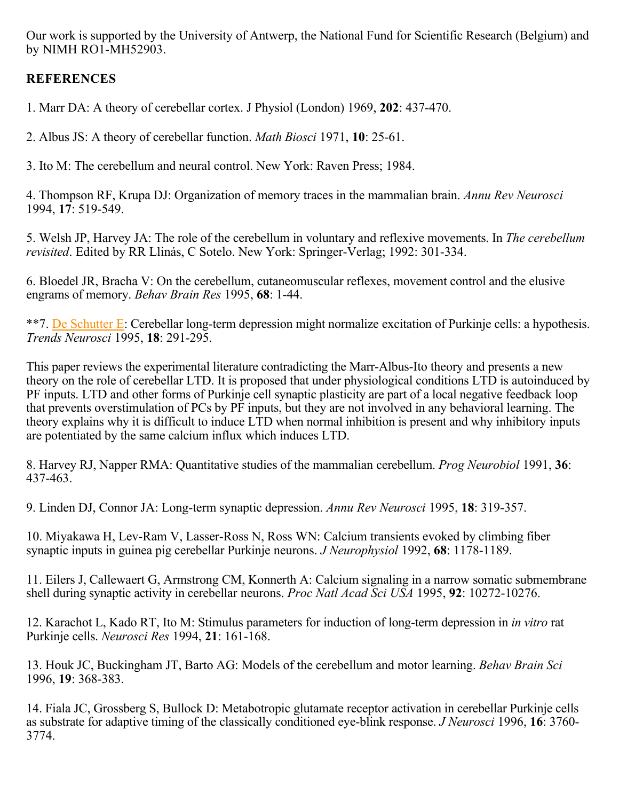Our work is supported by the University of Antwerp, the National Fund for Scientific Research (Belgium) and by NIMH RO1-MH52903.

#### **REFERENCES**

1. Marr DA: A theory of cerebellar cortex. J Physiol (London) 1969, **202**: 437-470.

2. Albus JS: A theory of cerebellar function. *Math Biosci* 1971, **10**: 25-61.

3. Ito M: The cerebellum and neural control. New York: Raven Press; 1984.

4. Thompson RF, Krupa DJ: Organization of memory traces in the mammalian brain. *Annu Rev Neurosci* 1994, 17: 519-549.

5. Welsh JP, Harvey JA: The role of the cerebellum in voluntary and reflexive movements. In *The cerebellum*  . Edited by RR Llinás, C Sotelo. New York: Springer-Verlag; 1992: 301-334. *revisited*

6. Bloedel JR, Bracha V: On the cerebellum, cutaneomuscular reflexes, movement control and the elusive engrams of memory. *Behav Brain Res* 1995, **68**: 1-44.

\*\*7. De Schutter E: Cerebellar long-term depression might normalize excitation of Purkinje cells: a hypothesis. *Trends Neurosci* 1995, 18: 291-295.

This paper reviews the experimental literature contradicting the Marr-Albus-Ito theory and presents a new theory on the role of cerebellar LTD. It is proposed that under physiological conditions LTD is autoinduced by PF inputs. LTD and other forms of Purkinje cell synaptic plasticity are part of a local negative feedback loop that prevents overstimulation of PCs by PF inputs, but they are not involved in any behavioral learning. The theory explains why it is difficult to induce LTD when normal inhibition is present and why inhibitory inputs are potentiated by the same calcium influx which induces LTD.

8. Harvey RJ, Napper RMA: Quantitative studies of the mammalian cerebellum. *Prog Neurobiol* 1991, 36: 437-463.

9. Linden DJ, Connor JA: Long-term synaptic depression. *Annu Rev Neurosci* 1995, **18**: 319-357.

10. Miyakawa H, Lev-Ram V, Lasser-Ross N, Ross WN: Calcium transients evoked by climbing fiber synaptic inputs in guinea pig cerebellar Purkinje neurons. *J Neurophysiol* 1992, **68**: 1178-1189.

11. Eilers J, Callewaert G, Armstrong CM, Konnerth A: Calcium signaling in a narrow somatic submembrane shell during synaptic activity in cerebellar neurons. *Proc Natl Acad Sci USA* 1995, **92**: 10272-10276.

12. Karachot L, Kado RT, Ito M: Stimulus parameters for induction of long-term depression in *in vitro* rat Purkinje cells. Neurosci Res 1994, 21: 161-168.

13. Houk JC, Buckingham JT, Barto AG: Models of the cerebellum and motor learning. *Behav Brain Sci* 1996, 19: 368-383.

14. Fiala JC, Grossberg S, Bullock D: Metabotropic glutamate receptor activation in cerebellar Purkinje cells as substrate for adaptive timing of the classically conditioned eye-blink response. *J Neurosci* 1996, 16: 3760-3774.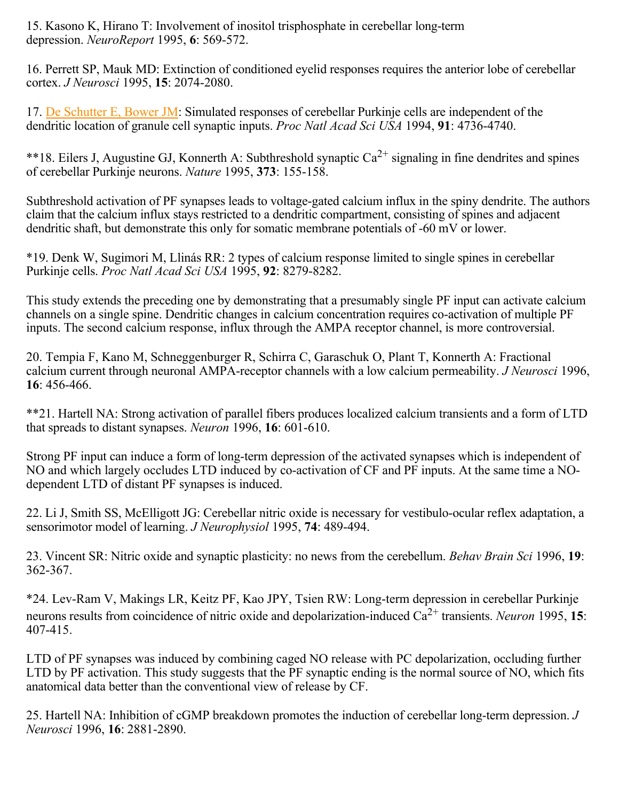15. Kasono K, Hirano T: Involvement of inositol trisphosphate in cerebellar long-term depression. *NeuroReport* 1995, **6**: 569-572.

16. Perrett SP, Mauk MD: Extinction of conditioned eyelid responses requires the anterior lobe of cerebellar cortex. *J Neurosci* 1995, **15**: 2074-2080.

17. De Schutter E, Bower JM: Simulated responses of cerebellar Purkinje cells are independent of the dendritic location of granule cell synaptic inputs. Proc Natl Acad Sci USA 1994, 91: 4736-4740.

\*\*18. Eilers J, Augustine GJ, Konnerth A: Subthreshold synaptic  $Ca^{2+}$  signaling in fine dendrites and spines of cerebellar Purkinje neurons. Nature 1995, 373: 155-158.

Subthreshold activation of PF synapses leads to voltage-gated calcium influx in the spiny dendrite. The authors claim that the calcium influx stays restricted to a dendritic compartment, consisting of spines and adjacent dendritic shaft, but demonstrate this only for somatic membrane potentials of -60 mV or lower.

\*19. Denk W, Sugimori M, Llinás RR: 2 types of calcium response limited to single spines in cerebellar Purkinje cells. *Proc Natl Acad Sci USA* 1995, **92**: 8279-8282.

This study extends the preceding one by demonstrating that a presumably single PF input can activate calcium channels on a single spine. Dendritic changes in calcium concentration requires co-activation of multiple PF inputs. The second calcium response, influx through the AMPA receptor channel, is more controversial.

20. Tempia F, Kano M, Schneggenburger R, Schirra C, Garaschuk O, Plant T, Konnerth A: Fractional calcium current through neuronal AMPA-receptor channels with a low calcium permeability. *J Neurosci* 1996, : 456-466. **16**

\*\*21. Hartell NA: Strong activation of parallel fibers produces localized calcium transients and a form of LTD that spreads to distant synapses. *Neuron* 1996, **16**: 601-610.

Strong PF input can induce a form of long-term depression of the activated synapses which is independent of NO and which largely occludes LTD induced by co-activation of CF and PF inputs. At the same time a NOdependent LTD of distant PF synapses is induced.

22. Li J, Smith SS, McElligott JG: Cerebellar nitric oxide is necessary for vestibulo-ocular reflex adaptation, a sensorimotor model of learning. *J Neurophysiol* 1995, **74**: 489-494.

23. Vincent SR: Nitric oxide and synaptic plasticity: no news from the cerebellum. Behav Brain Sci 1996, 19: 362-367.

\*24. Lev-Ram V, Makings LR, Keitz PF, Kao JPY, Tsien RW: Long-term depression in cerebellar Purkinje neurons results from coincidence of nitric oxide and depolarization-induced  $Ca^{2+}$  transients. *Neuron* 1995, **15**: 407-415.

LTD of PF synapses was induced by combining caged NO release with PC depolarization, occluding further LTD by PF activation. This study suggests that the PF synaptic ending is the normal source of NO, which fits anatomical data better than the conventional view of release by CF.

25. Hartell NA: Inhibition of cGMP breakdown promotes the induction of cerebellar long-term depression. *J Neurosci* 1996, 16: 2881-2890.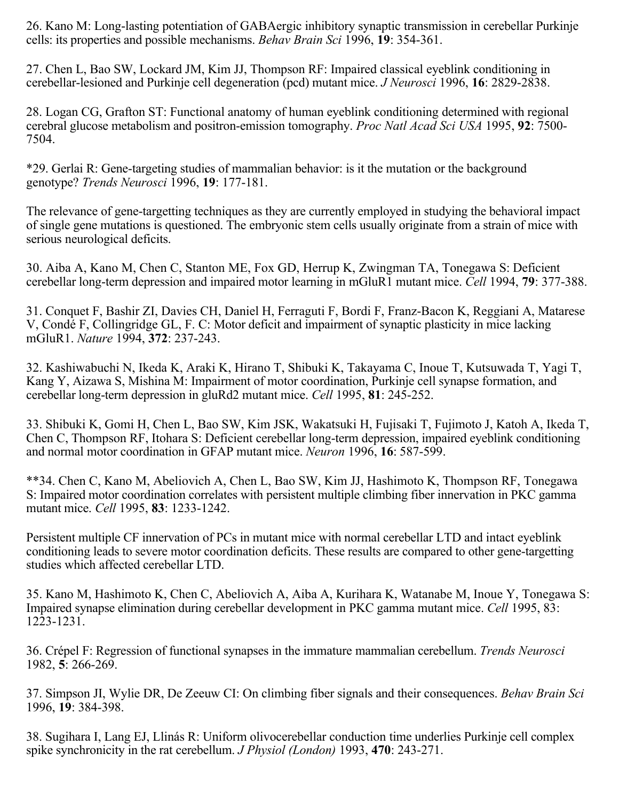26. Kano M: Long-lasting potentiation of GABAergic inhibitory synaptic transmission in cerebellar Purkinje cells: its properties and possible mechanisms. *Behav Brain Sci* 1996, **19**: 354-361.

27. Chen L, Bao SW, Lockard JM, Kim JJ, Thompson RF: Impaired classical eyeblink conditioning in cerebellar-lesioned and Purkinje cell degeneration (pcd) mutant mice. *J Neurosci* 1996, **16**: 2829-2838.

28. Logan CG, Grafton ST: Functional anatomy of human eyeblink conditioning determined with regional cerebral glucose metabolism and positron-emission tomography. Proc Natl Acad Sci USA 1995, 92: 7500-7504.

\*29. Gerlai R: Gene-targeting studies of mammalian behavior: is it the mutation or the background genotype? *Trends Neurosci* 1996, **19**: 177-181.

The relevance of gene-targetting techniques as they are currently employed in studying the behavioral impact of single gene mutations is questioned. The embryonic stem cells usually originate from a strain of mice with serious neurological deficits.

30. Aiba A, Kano M, Chen C, Stanton ME, Fox GD, Herrup K, Zwingman TA, Tonegawa S: Deficient cerebellar long-term depression and impaired motor learning in mGluR1 mutant mice. *Cell* 1994, **79**: 377-388.

31. Conquet F, Bashir ZI, Davies CH, Daniel H, Ferraguti F, Bordi F, Franz-Bacon K, Reggiani A, Matarese V, Condé F, Collingridge GL, F. C: Motor deficit and impairment of synaptic plasticity in mice lacking mGluR1. *Nature* 1994, **372**: 237-243.

32. Kashiwabuchi N, Ikeda K, Araki K, Hirano T, Shibuki K, Takayama C, Inoue T, Kutsuwada T, Yagi T, Kang Y, Aizawa S, Mishina M: Impairment of motor coordination, Purkinje cell synapse formation, and cerebellar long-term depression in gluRd2 mutant mice. *Cell* 1995, **81**: 245-252.

33. Shibuki K, Gomi H, Chen L, Bao SW, Kim JSK, Wakatsuki H, Fujisaki T, Fujimoto J, Katoh A, Ikeda T, Chen C, Thompson RF, Itohara S: Deficient cerebellar long-term depression, impaired eyeblink conditioning and normal motor coordination in GFAP mutant mice. *Neuron* 1996, **16**: 587-599.

\*\*34. Chen C, Kano M, Abeliovich A, Chen L, Bao SW, Kim JJ, Hashimoto K, Thompson RF, Tonegawa S: Impaired motor coordination correlates with persistent multiple climbing fiber innervation in PKC gamma mutant mice. *Cell* 1995, **83**: 1233-1242.

Persistent multiple CF innervation of PCs in mutant mice with normal cerebellar LTD and intact eyeblink conditioning leads to severe motor coordination deficits. These results are compared to other gene-targetting studies which affected cerebellar LTD.

35. Kano M, Hashimoto K, Chen C, Abeliovich A, Aiba A, Kurihara K, Watanabe M, Inoue Y, Tonegawa S: Impaired synapse elimination during cerebellar development in PKC gamma mutant mice. Cell 1995, 83: 1223-1231.

36. Crépel F: Regression of functional synapses in the immature mammalian cerebellum. *Trends Neurosci* 1982, 5: 266-269.

37. Simpson JI, Wylie DR, De Zeeuw CI: On climbing fiber signals and their consequences. *Behav Brain Sci* 1996, 19: 384-398.

38. Sugihara I, Lang EJ, Llinás R: Uniform olivocerebellar conduction time underlies Purkinje cell complex spike synchronicity in the rat cerebellum. *J Physiol (London)* 1993, **470**: 243-271.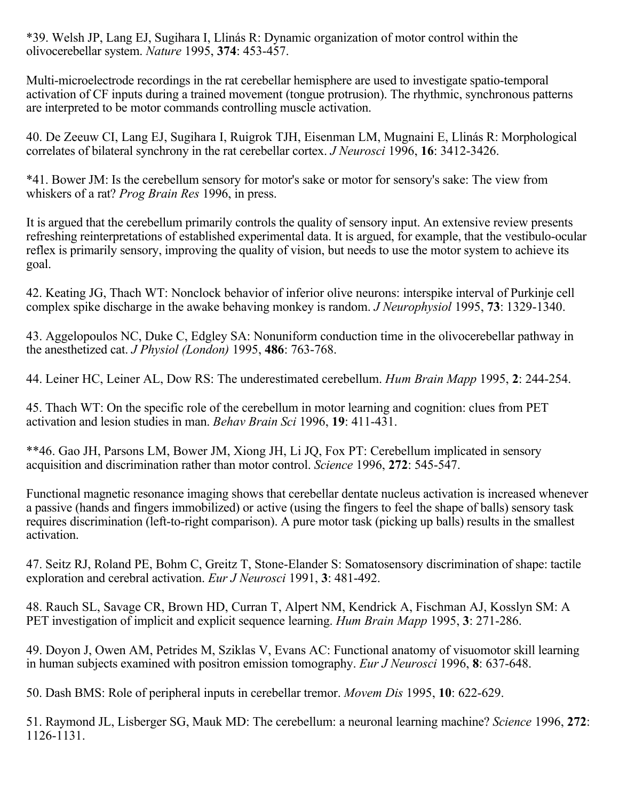\*39. Welsh JP, Lang EJ, Sugihara I, Llinás R: Dynamic organization of motor control within the olivocerebellar system. *Nature* 1995, **374**: 453-457.

Multi-microelectrode recordings in the rat cerebellar hemisphere are used to investigate spatio-temporal activation of CF inputs during a trained movement (tongue protrusion). The rhythmic, synchronous patterns are interpreted to be motor commands controlling muscle activation.

40. De Zeeuw CI, Lang EJ, Sugihara I, Ruigrok TJH, Eisenman LM, Mugnaini E, Llinás R: Morphological correlates of bilateral synchrony in the rat cerebellar cortex. *J Neurosci* 1996, **16**: 3412-3426.

\*41. Bower JM: Is the cerebellum sensory for motor's sake or motor for sensory's sake: The view from whiskers of a rat? *Prog Brain Res* 1996, in press.

It is argued that the cerebellum primarily controls the quality of sensory input. An extensive review presents refreshing reinterpretations of established experimental data. It is argued, for example, that the vestibulo-ocular reflex is primarily sensory, improving the quality of vision, but needs to use the motor system to achieve its goal.

42. Keating JG, Thach WT: Nonclock behavior of inferior olive neurons: interspike interval of Purkinje cell complex spike discharge in the awake behaving monkey is random. *J Neurophysiol* 1995, **73**: 1329-1340.

43. Aggelopoulos NC, Duke C, Edgley SA: Nonuniform conduction time in the olivocerebellar pathway in the anesthetized cat. *J Physiol (London)* 1995, **486**: 763-768.

44. Leiner HC, Leiner AL, Dow RS: The underestimated cerebellum. *Hum Brain Mapp* 1995, **2**: 244-254.

45. Thach WT: On the specific role of the cerebellum in motor learning and cognition: clues from PET activation and lesion studies in man. *Behav Brain Sci* 1996, **19**: 411-431.

\*\*46. Gao JH, Parsons LM, Bower JM, Xiong JH, Li JQ, Fox PT: Cerebellum implicated in sensory acquisition and discrimination rather than motor control. *Science* 1996, **272**: 545-547.

Functional magnetic resonance imaging shows that cerebellar dentate nucleus activation is increased whenever a passive (hands and fingers immobilized) or active (using the fingers to feel the shape of balls) sensory task requires discrimination (left-to-right comparison). A pure motor task (picking up balls) results in the smallest activation.

47. Seitz RJ, Roland PE, Bohm C, Greitz T, Stone-Elander S: Somatosensory discrimination of shape: tactile exploration and cerebral activation. *Eur J Neurosci* 1991, **3**: 481-492.

48. Rauch SL, Savage CR, Brown HD, Curran T, Alpert NM, Kendrick A, Fischman AJ, Kosslyn SM: A PET investigation of implicit and explicit sequence learning. *Hum Brain Mapp* 1995, **3**: 271-286.

49. Doyon J, Owen AM, Petrides M, Sziklas V, Evans AC: Functional anatomy of visuomotor skill learning in human subjects examined with positron emission tomography. *Eur J Neurosci* 1996, **8**: 637-648.

50. Dash BMS: Role of peripheral inputs in cerebellar tremor. *Movem Dis* 1995, **10**: 622-629.

51. Raymond JL, Lisberger SG, Mauk MD: The cerebellum: a neuronal learning machine? Science 1996, 272: 1126-1131.